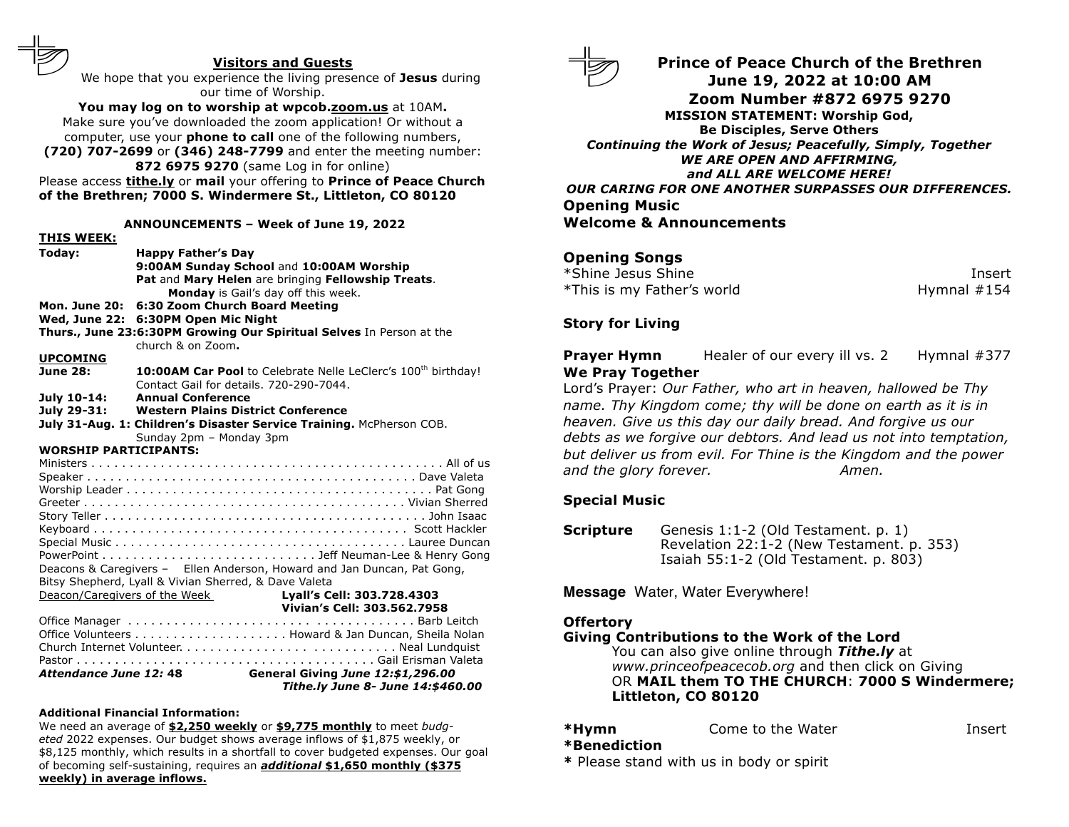#### **Visitors and Guests**

We hope that you experience the living presence of **Jesus** during our time of Worship.

**You may log on to worship at wpcob.zoom.us** at 10AM**.** Make sure you've downloaded the zoom application! Or without a computer, use your **phone to call** one of the following numbers, **(720) 707-2699** or **(346) 248-7799** and enter the meeting number:

**872 6975 9270** (same Log in for online) Please access **tithe.ly** or **mail** your offering to **Prince of Peace Church of the Brethren; 7000 S. Windermere St., Littleton, CO 80120**

#### **ANNOUNCEMENTS – Week of June 19, 2022**

|                                                         | ,,,,,,,,,,,,,,       |                                                                           |  |
|---------------------------------------------------------|----------------------|---------------------------------------------------------------------------|--|
|                                                         | Today:               | <b>Happy Father's Day</b>                                                 |  |
|                                                         |                      | 9:00AM Sunday School and 10:00AM Worship                                  |  |
|                                                         |                      | Pat and Mary Helen are bringing Fellowship Treats.                        |  |
|                                                         |                      | Monday is Gail's day off this week.                                       |  |
|                                                         | <b>Mon. June 20:</b> | 6:30 Zoom Church Board Meeting                                            |  |
|                                                         | Wed, June 22:        | 6:30PM Open Mic Night                                                     |  |
|                                                         |                      | Thurs., June 23:6:30PM Growing Our Spiritual Selves In Person at the      |  |
|                                                         |                      | church & on Zoom.                                                         |  |
|                                                         | <b>UPCOMING</b>      |                                                                           |  |
|                                                         | <b>June 28:</b>      | 10:00AM Car Pool to Celebrate Nelle LeClerc's 100 <sup>th</sup> birthday! |  |
|                                                         |                      | Contact Gail for details, 720-290-7044.                                   |  |
|                                                         | July 10-14:          | <b>Annual Conference</b>                                                  |  |
|                                                         |                      | July 29-31: Western Plains District Conference                            |  |
|                                                         |                      | July 31-Aug. 1: Children's Disaster Service Training. McPherson COB.      |  |
|                                                         |                      |                                                                           |  |
| Sunday 2pm - Monday 3pm<br><b>WORSHIP PARTICIPANTS:</b> |                      |                                                                           |  |
|                                                         |                      |                                                                           |  |
|                                                         |                      |                                                                           |  |
|                                                         |                      |                                                                           |  |
|                                                         |                      |                                                                           |  |
|                                                         |                      |                                                                           |  |
|                                                         |                      |                                                                           |  |
|                                                         |                      |                                                                           |  |
|                                                         |                      |                                                                           |  |
|                                                         |                      | Deacons & Caregivers - Ellen Anderson, Howard and Jan Duncan, Pat Gong,   |  |
|                                                         |                      | Bitsy Shepherd, Lyall & Vivian Sherred, & Dave Valeta                     |  |
|                                                         |                      | Deacon/Caregivers of the Week <b>Lyall's Cell: 303.728.4303</b>           |  |
|                                                         |                      | Vivian's Cell: 303.562.7958                                               |  |
|                                                         |                      |                                                                           |  |
|                                                         |                      |                                                                           |  |
|                                                         |                      |                                                                           |  |
|                                                         |                      |                                                                           |  |
|                                                         |                      | Attendance June 12: 48 General Giving June 12:\$1,296.00                  |  |
|                                                         |                      |                                                                           |  |

#### *Tithe.ly June 8- June 14:\$460.00*

#### **Additional Financial Information:**

**THIS WEEK:**

We need an average of **\$2,250 weekly** or **\$9,775 monthly** to meet *budgeted* 2022 expenses. Our budget shows average inflows of \$1,875 weekly, or \$8,125 monthly, which results in a shortfall to cover budgeted expenses. Our goal of becoming self-sustaining, requires an *additional* **\$1,650 monthly (\$375 weekly) in average inflows.**



**Prince of Peace Church of the Brethren June 19, 2022 at 10:00 AM Zoom Number #872 6975 9270 MISSION STATEMENT: Worship God, Be Disciples, Serve Others** *Continuing the Work of Jesus; Peacefully, Simply, Together WE ARE OPEN AND AFFIRMING, and ALL ARE WELCOME HERE! OUR CARING FOR ONE ANOTHER SURPASSES OUR DIFFERENCES.* **Opening Music Welcome & Announcements**

## **Opening Songs**

\*Shine Jesus Shine Insert \*This is my Father's world **Hymnal #154** 

### **Story for Living**

**Prayer Hymn** Healer of our every ill vs. 2 Hymnal #377 **We Pray Together**

Lord's Prayer: *Our Father, who art in heaven, hallowed be Thy name. Thy Kingdom come; thy will be done on earth as it is in heaven. Give us this day our daily bread. And forgive us our debts as we forgive our debtors. And lead us not into temptation, but deliver us from evil. For Thine is the Kingdom and the power* and *the glory forever.* Amen.

### **Special Music**

**Scripture** Genesis 1:1-2 (Old Testament. p. 1) Revelation 22:1-2 (New Testament. p. 353) Isaiah 55:1-2 (Old Testament. p. 803)

**Message** Water, Water Everywhere!

#### **Offertory**

#### **Giving Contributions to the Work of the Lord**

You can also give online through *Tithe.ly* at *www.princeofpeacecob.org* and then click on Giving OR **MAIL them TO THE CHURCH**: **7000 S Windermere; Littleton, CO 80120**

| *Hymn | Come to the Water | Insert |
|-------|-------------------|--------|
|       |                   |        |

#### **\*Benediction**

**\*** Please stand with us in body or spirit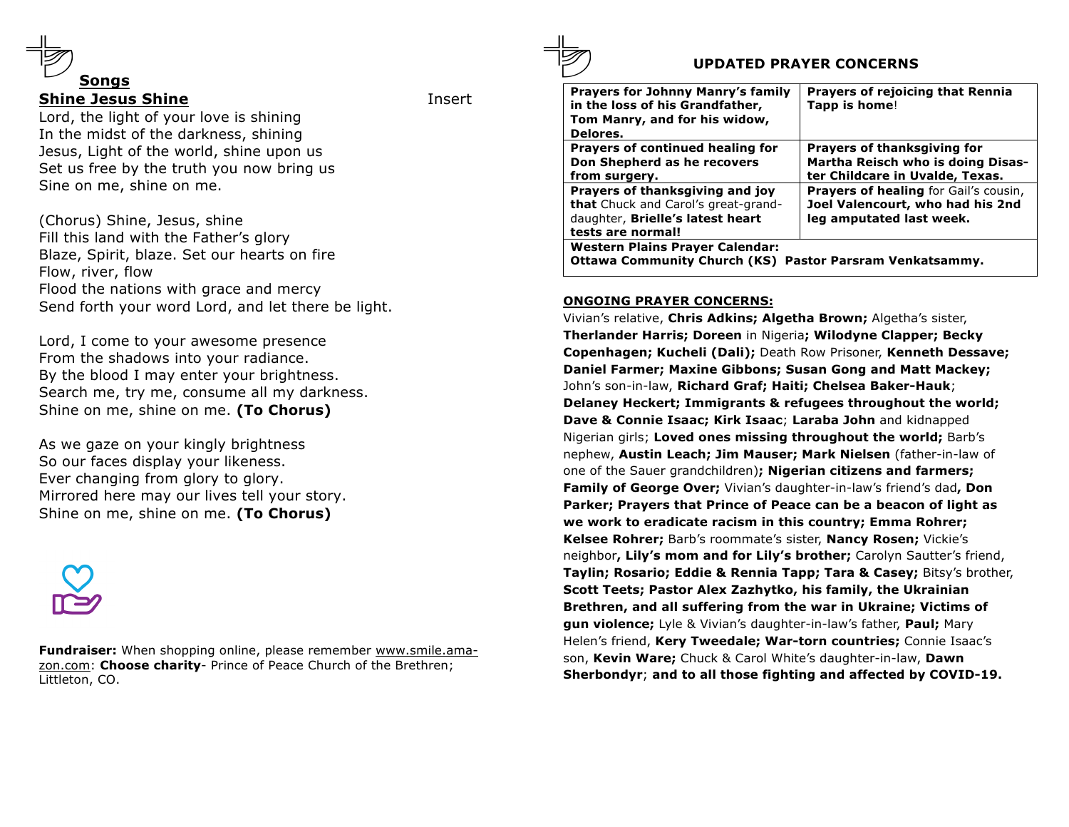

## **Shine Jesus Shine Insert**

Lord, the light of your love is shining In the midst of the darkness, shining Jesus, Light of the world, shine upon us Set us free by the truth you now bring us Sine on me, shine on me.

(Chorus) Shine, Jesus, shine Fill this land with the Father's glory Blaze, Spirit, blaze. Set our hearts on fire Flow, river, flow Flood the nations with grace and mercy Send forth your word Lord, and let there be light.

Lord, I come to your awesome presence From the shadows into your radiance. By the blood I may enter your brightness. Search me, try me, consume all my darkness. Shine on me, shine on me. **(To Chorus)**

As we gaze on your kingly brightness So our faces display your likeness. Ever changing from glory to glory. Mirrored here may our lives tell your story. Shine on me, shine on me. **(To Chorus)**



**Fundraiser:** When shopping online, please remember www.smile.amazon.com: **Choose charity**- Prince of Peace Church of the Brethren; Littleton, CO.

# **UPDATED PRAYER CONCERNS**

| <b>Prayers for Johnny Manry's family</b><br>in the loss of his Grandfather,<br>Tom Manry, and for his widow,<br>Delores.               | <b>Prayers of rejoicing that Rennia</b><br>Tapp is home!                                                     |  |  |
|----------------------------------------------------------------------------------------------------------------------------------------|--------------------------------------------------------------------------------------------------------------|--|--|
| Prayers of continued healing for<br>Don Shepherd as he recovers<br>from surgery.                                                       | Prayers of thanksgiving for<br>Martha Reisch who is doing Disas-<br>ter Childcare in Uvalde, Texas.          |  |  |
| Prayers of thanksgiving and joy<br><b>that</b> Chuck and Carol's great-grand-<br>daughter, Brielle's latest heart<br>tests are normal! | <b>Prayers of healing for Gail's cousin,</b><br>Joel Valencourt, who had his 2nd<br>leg amputated last week. |  |  |
| <b>Western Plains Prayer Calendar:</b><br><b>Ottawa Community Church (KS) Pastor Parsram Venkatsammy.</b>                              |                                                                                                              |  |  |

### **ONGOING PRAYER CONCERNS:**

Vivian's relative, **Chris Adkins; Algetha Brown;** Algetha's sister, **Therlander Harris; Doreen** in Nigeria**; Wilodyne Clapper; Becky Copenhagen; Kucheli (Dali);** Death Row Prisoner, **Kenneth Dessave; Daniel Farmer; Maxine Gibbons; Susan Gong and Matt Mackey;** John's son-in-law, **Richard Graf; Haiti; Chelsea Baker-Hauk**; **Delaney Heckert; Immigrants & refugees throughout the world; Dave & Connie Isaac; Kirk Isaac**; **Laraba John** and kidnapped Nigerian girls; **Loved ones missing throughout the world;** Barb's nephew, **Austin Leach; Jim Mauser; Mark Nielsen** (father-in-law of one of the Sauer grandchildren)**; Nigerian citizens and farmers; Family of George Over;** Vivian's daughter-in-law's friend's dad**, Don Parker; Prayers that Prince of Peace can be a beacon of light as we work to eradicate racism in this country; Emma Rohrer; Kelsee Rohrer;** Barb's roommate's sister, **Nancy Rosen;** Vickie's neighbor**, Lily's mom and for Lily's brother;** Carolyn Sautter's friend, **Taylin; Rosario; Eddie & Rennia Tapp; Tara & Casey;** Bitsy's brother, **Scott Teets; Pastor Alex Zazhytko, his family, the Ukrainian Brethren, and all suffering from the war in Ukraine; Victims of gun violence;** Lyle & Vivian's daughter-in-law's father, **Paul;** Mary Helen's friend, **Kery Tweedale; War-torn countries;** Connie Isaac's son, **Kevin Ware;** Chuck & Carol White's daughter-in-law, **Dawn Sherbondyr**; **and to all those fighting and affected by COVID-19.**